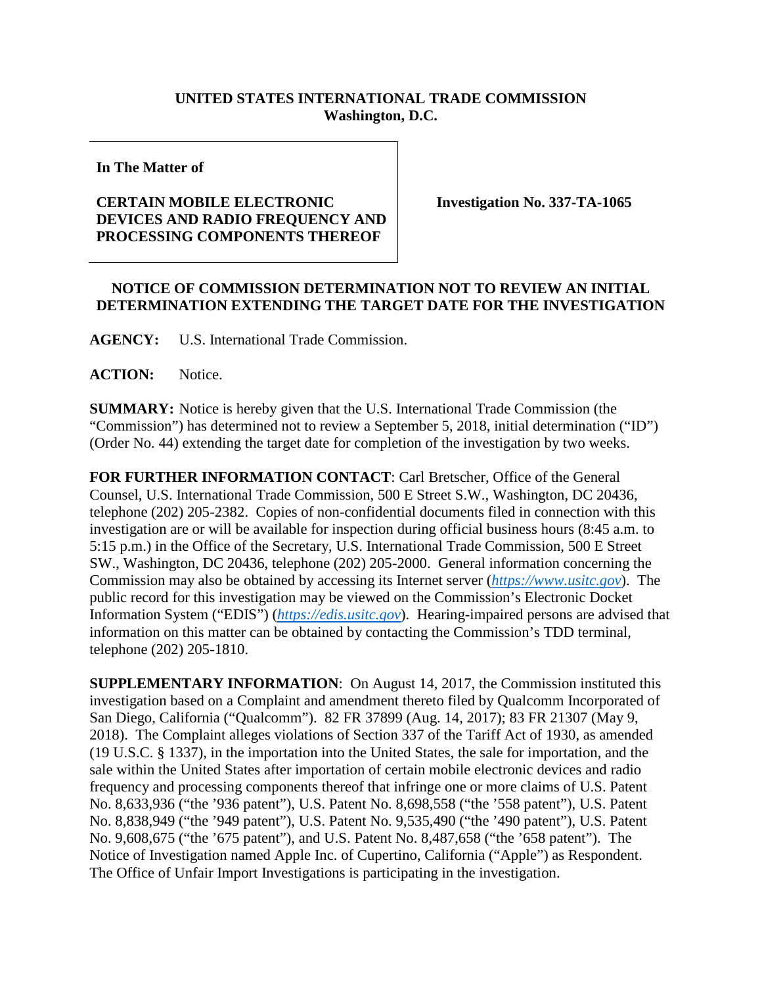## **UNITED STATES INTERNATIONAL TRADE COMMISSION Washington, D.C.**

**In The Matter of**

## **CERTAIN MOBILE ELECTRONIC DEVICES AND RADIO FREQUENCY AND PROCESSING COMPONENTS THEREOF**

**Investigation No. 337-TA-1065**

## **NOTICE OF COMMISSION DETERMINATION NOT TO REVIEW AN INITIAL DETERMINATION EXTENDING THE TARGET DATE FOR THE INVESTIGATION**

**AGENCY:** U.S. International Trade Commission.

**ACTION:** Notice.

**SUMMARY:** Notice is hereby given that the U.S. International Trade Commission (the "Commission") has determined not to review a September 5, 2018, initial determination ("ID") (Order No. 44) extending the target date for completion of the investigation by two weeks.

**FOR FURTHER INFORMATION CONTACT**: Carl Bretscher, Office of the General Counsel, U.S. International Trade Commission, 500 E Street S.W., Washington, DC 20436, telephone (202) 205-2382. Copies of non-confidential documents filed in connection with this investigation are or will be available for inspection during official business hours (8:45 a.m. to 5:15 p.m.) in the Office of the Secretary, U.S. International Trade Commission, 500 E Street SW., Washington, DC 20436, telephone (202) 205-2000. General information concerning the Commission may also be obtained by accessing its Internet server (*[https://www.usitc.gov](https://www.usitc.gov/)*). The public record for this investigation may be viewed on the Commission's Electronic Docket Information System ("EDIS") (*[https://edis.usitc.gov](https://edis.usitc.gov/)*). Hearing-impaired persons are advised that information on this matter can be obtained by contacting the Commission's TDD terminal, telephone (202) 205-1810.

**SUPPLEMENTARY INFORMATION**: On August 14, 2017, the Commission instituted this investigation based on a Complaint and amendment thereto filed by Qualcomm Incorporated of San Diego, California ("Qualcomm"). 82 FR 37899 (Aug. 14, 2017); 83 FR 21307 (May 9, 2018). The Complaint alleges violations of Section 337 of the Tariff Act of 1930, as amended (19 U.S.C. § 1337), in the importation into the United States, the sale for importation, and the sale within the United States after importation of certain mobile electronic devices and radio frequency and processing components thereof that infringe one or more claims of U.S. Patent No. 8,633,936 ("the '936 patent"), U.S. Patent No. 8,698,558 ("the '558 patent"), U.S. Patent No. 8,838,949 ("the '949 patent"), U.S. Patent No. 9,535,490 ("the '490 patent"), U.S. Patent No. 9,608,675 ("the '675 patent"), and U.S. Patent No. 8,487,658 ("the '658 patent"). The Notice of Investigation named Apple Inc. of Cupertino, California ("Apple") as Respondent. The Office of Unfair Import Investigations is participating in the investigation.